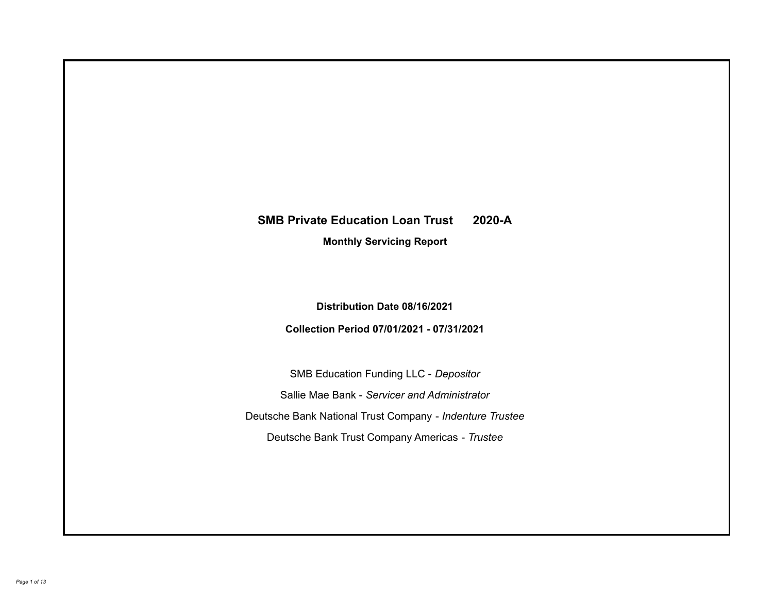# **SMB Private Education Loan Trust 2020-A**

**Monthly Servicing Report**

**Distribution Date 08/16/2021**

**Collection Period 07/01/2021 - 07/31/2021**

SMB Education Funding LLC - *Depositor* Sallie Mae Bank - *Servicer and Administrator* Deutsche Bank National Trust Company - *Indenture Trustee* Deutsche Bank Trust Company Americas - *Trustee*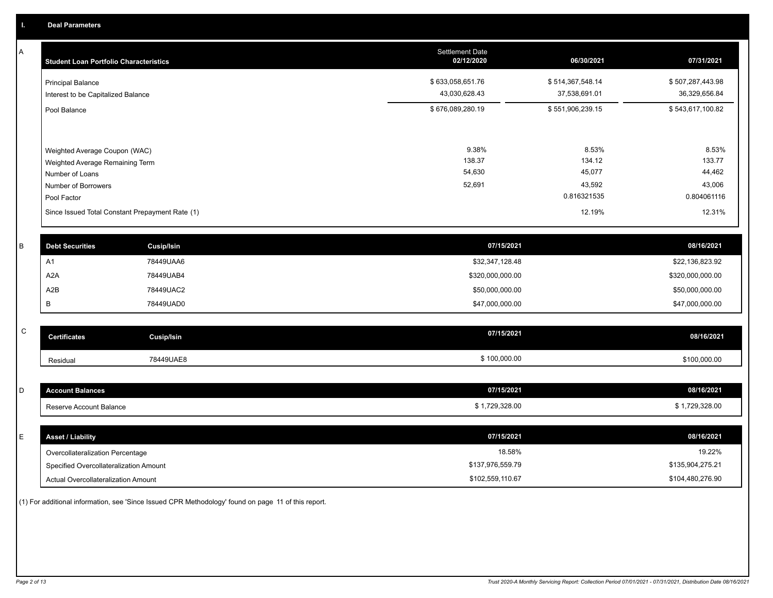A

| <b>Student Loan Portfolio Characteristics</b>                                                                             | <b>Settlement Date</b><br>02/12/2020 | 06/30/2021                                         | 07/31/2021                                         |
|---------------------------------------------------------------------------------------------------------------------------|--------------------------------------|----------------------------------------------------|----------------------------------------------------|
| <b>Principal Balance</b><br>Interest to be Capitalized Balance                                                            | \$633,058,651.76<br>43,030,628.43    | \$514,367,548.14<br>37,538,691.01                  | \$507,287,443.98<br>36,329,656.84                  |
| Pool Balance                                                                                                              | \$676,089,280.19                     | \$551,906,239.15                                   | \$543,617,100.82                                   |
| Weighted Average Coupon (WAC)<br>Weighted Average Remaining Term<br>Number of Loans<br>Number of Borrowers<br>Pool Factor | 9.38%<br>138.37<br>54,630<br>52,691  | 8.53%<br>134.12<br>45,077<br>43,592<br>0.816321535 | 8.53%<br>133.77<br>44,462<br>43,006<br>0.804061116 |
| Since Issued Total Constant Prepayment Rate (1)                                                                           |                                      | 12.19%                                             | 12.31%                                             |

| <b>Debt Securities</b> | Cusip/Isin | 07/15/2021       | 08/16/2021       |
|------------------------|------------|------------------|------------------|
| A٦                     | 78449UAA6  | \$32,347,128.48  | \$22,136,823.92  |
| A2A                    | 78449UAB4  | \$320,000,000.00 | \$320,000,000.00 |
| A2B                    | 78449UAC2  | \$50,000,000.00  | \$50,000,000.00  |
|                        | 78449UAD0  | \$47,000,000.00  | \$47,000,000.00  |

| $\sim$<br>◡ | <b>Certificates</b> | Cusip/Isin | 07/15/2021   | 08/16/2021   |
|-------------|---------------------|------------|--------------|--------------|
|             | Residual            | 78449UAE8  | \$100,000.00 | \$100,000.00 |

| I D | <b>Account Balances</b>          | 07/15/2021     | 08/16/2021     |
|-----|----------------------------------|----------------|----------------|
|     | Reserve Account Balance          | \$1,729,328.00 | \$1,729,328.00 |
|     |                                  |                |                |
| E   | <b>Asset / Liability</b>         | 07/15/2021     | 08/16/2021     |
|     | Overcollateralization Percentage | 18.58%         | 19.22%         |

| Overcollateralization Percentage       | 18.58%           | 19.22%           |
|----------------------------------------|------------------|------------------|
| Specified Overcollateralization Amount | \$137.976.559.79 | \$135.904.275.21 |
| Actual Overcollateralization Amount    | \$102,559,110.67 | \$104,480,276.90 |

(1) For additional information, see 'Since Issued CPR Methodology' found on page 11 of this report.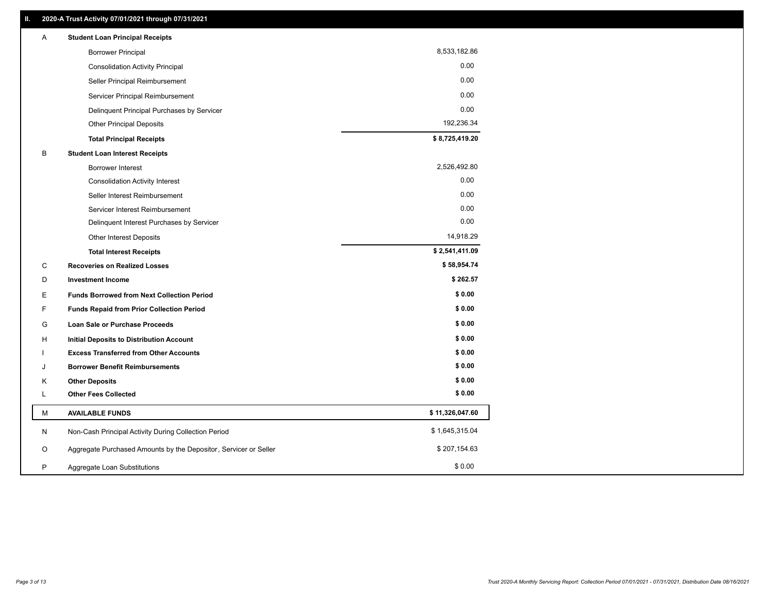| Α | <b>Student Loan Principal Receipts</b>                           |                 |  |
|---|------------------------------------------------------------------|-----------------|--|
|   | <b>Borrower Principal</b>                                        | 8,533,182.86    |  |
|   | <b>Consolidation Activity Principal</b>                          | 0.00            |  |
|   | Seller Principal Reimbursement                                   | 0.00            |  |
|   | Servicer Principal Reimbursement                                 | 0.00            |  |
|   | Delinquent Principal Purchases by Servicer                       | 0.00            |  |
|   | <b>Other Principal Deposits</b>                                  | 192,236.34      |  |
|   | <b>Total Principal Receipts</b>                                  | \$8,725,419.20  |  |
| B | <b>Student Loan Interest Receipts</b>                            |                 |  |
|   | <b>Borrower Interest</b>                                         | 2,526,492.80    |  |
|   | <b>Consolidation Activity Interest</b>                           | 0.00            |  |
|   | Seller Interest Reimbursement                                    | 0.00            |  |
|   | Servicer Interest Reimbursement                                  | 0.00            |  |
|   | Delinquent Interest Purchases by Servicer                        | 0.00            |  |
|   | <b>Other Interest Deposits</b>                                   | 14,918.29       |  |
|   | <b>Total Interest Receipts</b>                                   | \$2,541,411.09  |  |
| C | <b>Recoveries on Realized Losses</b>                             | \$58,954.74     |  |
| D | <b>Investment Income</b>                                         | \$262.57        |  |
| Е | <b>Funds Borrowed from Next Collection Period</b>                | \$0.00          |  |
| F | <b>Funds Repaid from Prior Collection Period</b>                 | \$0.00          |  |
| G | Loan Sale or Purchase Proceeds                                   | \$0.00          |  |
| н | Initial Deposits to Distribution Account                         | \$0.00          |  |
|   | <b>Excess Transferred from Other Accounts</b>                    | \$0.00          |  |
| J | <b>Borrower Benefit Reimbursements</b>                           | \$0.00          |  |
| Κ | <b>Other Deposits</b>                                            | \$0.00          |  |
| L | <b>Other Fees Collected</b>                                      | \$0.00          |  |
| М | <b>AVAILABLE FUNDS</b>                                           | \$11,326,047.60 |  |
| N | Non-Cash Principal Activity During Collection Period             | \$1,645,315.04  |  |
| O | Aggregate Purchased Amounts by the Depositor, Servicer or Seller | \$207,154.63    |  |
| P | Aggregate Loan Substitutions                                     | \$0.00          |  |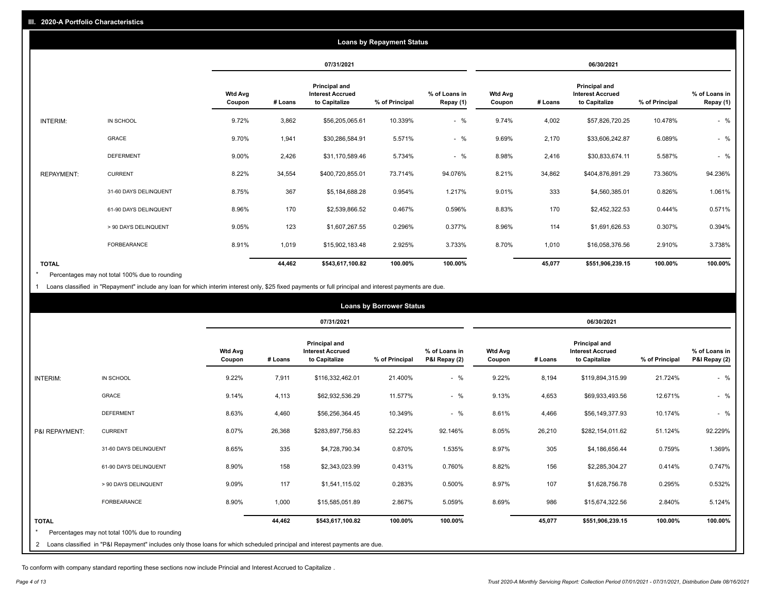|                   |                       |                          |         |                                                           | <b>Loans by Repayment Status</b> |                            |                          |         |                                                                  |                |                            |
|-------------------|-----------------------|--------------------------|---------|-----------------------------------------------------------|----------------------------------|----------------------------|--------------------------|---------|------------------------------------------------------------------|----------------|----------------------------|
|                   |                       |                          |         | 07/31/2021                                                |                                  |                            |                          |         | 06/30/2021                                                       |                |                            |
|                   |                       | <b>Wtd Avg</b><br>Coupon | # Loans | Principal and<br><b>Interest Accrued</b><br>to Capitalize | % of Principal                   | % of Loans in<br>Repay (1) | <b>Wtd Avg</b><br>Coupon | # Loans | <b>Principal and</b><br><b>Interest Accrued</b><br>to Capitalize | % of Principal | % of Loans in<br>Repay (1) |
| INTERIM:          | IN SCHOOL             | 9.72%                    | 3,862   | \$56,205,065.61                                           | 10.339%                          | $-$ %                      | 9.74%                    | 4,002   | \$57,826,720.25                                                  | 10.478%        | $-$ %                      |
|                   | GRACE                 | 9.70%                    | 1,941   | \$30,286,584.91                                           | 5.571%                           | $-$ %                      | 9.69%                    | 2,170   | \$33,606,242.87                                                  | 6.089%         | $-$ %                      |
|                   | <b>DEFERMENT</b>      | 9.00%                    | 2,426   | \$31,170,589.46                                           | 5.734%                           | $-$ %                      | 8.98%                    | 2,416   | \$30,833,674.11                                                  | 5.587%         | $-$ %                      |
| <b>REPAYMENT:</b> | <b>CURRENT</b>        | 8.22%                    | 34,554  | \$400,720,855.01                                          | 73.714%                          | 94.076%                    | 8.21%                    | 34,862  | \$404,876,891.29                                                 | 73.360%        | 94.236%                    |
|                   | 31-60 DAYS DELINQUENT | 8.75%                    | 367     | \$5,184,688.28                                            | 0.954%                           | 1.217%                     | 9.01%                    | 333     | \$4,560,385.01                                                   | 0.826%         | 1.061%                     |
|                   | 61-90 DAYS DELINQUENT | 8.96%                    | 170     | \$2,539,866.52                                            | 0.467%                           | 0.596%                     | 8.83%                    | 170     | \$2,452,322.53                                                   | 0.444%         | 0.571%                     |
|                   | > 90 DAYS DELINQUENT  | 9.05%                    | 123     | \$1,607,267.55                                            | 0.296%                           | 0.377%                     | 8.96%                    | 114     | \$1,691,626.53                                                   | 0.307%         | 0.394%                     |
|                   | <b>FORBEARANCE</b>    | 8.91%                    | 1,019   | \$15,902,183.48                                           | 2.925%                           | 3.733%                     | 8.70%                    | 1,010   | \$16,058,376.56                                                  | 2.910%         | 3.738%                     |
| <b>TOTAL</b>      |                       |                          | 44,462  | \$543,617,100.82                                          | 100.00%                          | 100.00%                    |                          | 45,077  | \$551,906,239.15                                                 | 100.00%        | 100.00%                    |

Percentages may not total 100% due to rounding  $\pmb{\ast}$ 

1 Loans classified in "Repayment" include any loan for which interim interest only, \$25 fixed payments or full principal and interest payments are due.

|                |                                                                                                                            |                          |         |                                                                  | <b>Loans by Borrower Status</b> |                                |                          |         |                                                           |                |                                |
|----------------|----------------------------------------------------------------------------------------------------------------------------|--------------------------|---------|------------------------------------------------------------------|---------------------------------|--------------------------------|--------------------------|---------|-----------------------------------------------------------|----------------|--------------------------------|
|                |                                                                                                                            |                          |         | 07/31/2021                                                       |                                 |                                |                          |         | 06/30/2021                                                |                |                                |
|                |                                                                                                                            | <b>Wtd Avg</b><br>Coupon | # Loans | <b>Principal and</b><br><b>Interest Accrued</b><br>to Capitalize | % of Principal                  | % of Loans in<br>P&I Repay (2) | <b>Wtd Avg</b><br>Coupon | # Loans | Principal and<br><b>Interest Accrued</b><br>to Capitalize | % of Principal | % of Loans in<br>P&I Repay (2) |
| INTERIM:       | IN SCHOOL                                                                                                                  | 9.22%                    | 7,911   | \$116,332,462.01                                                 | 21.400%                         | $-$ %                          | 9.22%                    | 8,194   | \$119,894,315.99                                          | 21.724%        | $-$ %                          |
|                | <b>GRACE</b>                                                                                                               | 9.14%                    | 4,113   | \$62,932,536.29                                                  | 11.577%                         | $-$ %                          | 9.13%                    | 4,653   | \$69,933,493.56                                           | 12.671%        | $-$ %                          |
|                | <b>DEFERMENT</b>                                                                                                           | 8.63%                    | 4,460   | \$56,256,364.45                                                  | 10.349%                         | $-$ %                          | 8.61%                    | 4,466   | \$56,149,377.93                                           | 10.174%        | $-$ %                          |
| P&I REPAYMENT: | <b>CURRENT</b>                                                                                                             | 8.07%                    | 26,368  | \$283,897,756.83                                                 | 52.224%                         | 92.146%                        | 8.05%                    | 26,210  | \$282,154,011.62                                          | 51.124%        | 92.229%                        |
|                | 31-60 DAYS DELINQUENT                                                                                                      | 8.65%                    | 335     | \$4,728,790.34                                                   | 0.870%                          | 1.535%                         | 8.97%                    | 305     | \$4,186,656.44                                            | 0.759%         | 1.369%                         |
|                | 61-90 DAYS DELINQUENT                                                                                                      | 8.90%                    | 158     | \$2,343,023.99                                                   | 0.431%                          | 0.760%                         | 8.82%                    | 156     | \$2,285,304.27                                            | 0.414%         | 0.747%                         |
|                | > 90 DAYS DELINQUENT                                                                                                       | 9.09%                    | 117     | \$1,541,115.02                                                   | 0.283%                          | 0.500%                         | 8.97%                    | 107     | \$1,628,756.78                                            | 0.295%         | 0.532%                         |
|                | <b>FORBEARANCE</b>                                                                                                         | 8.90%                    | 1,000   | \$15,585,051.89                                                  | 2.867%                          | 5.059%                         | 8.69%                    | 986     | \$15,674,322.56                                           | 2.840%         | 5.124%                         |
| <b>TOTAL</b>   |                                                                                                                            |                          | 44,462  | \$543,617,100.82                                                 | 100.00%                         | 100.00%                        |                          | 45,077  | \$551,906,239.15                                          | 100.00%        | 100.00%                        |
|                | Percentages may not total 100% due to rounding                                                                             |                          |         |                                                                  |                                 |                                |                          |         |                                                           |                |                                |
| $\overline{2}$ | Loans classified in "P&I Repayment" includes only those loans for which scheduled principal and interest payments are due. |                          |         |                                                                  |                                 |                                |                          |         |                                                           |                |                                |

To conform with company standard reporting these sections now include Princial and Interest Accrued to Capitalize .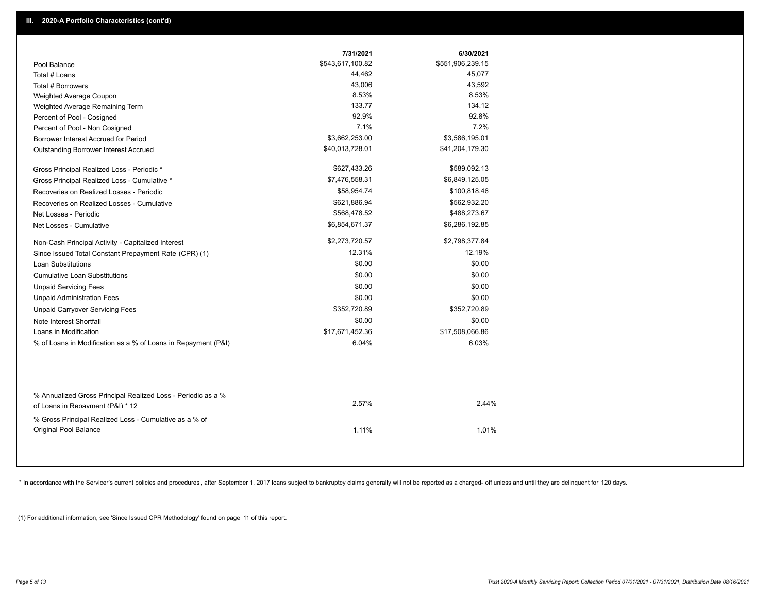|                                                                                                  | 7/31/2021        | 6/30/2021        |
|--------------------------------------------------------------------------------------------------|------------------|------------------|
| Pool Balance                                                                                     | \$543,617,100.82 | \$551,906,239.15 |
| Total # Loans                                                                                    | 44,462           | 45,077           |
| Total # Borrowers                                                                                | 43,006           | 43,592           |
| Weighted Average Coupon                                                                          | 8.53%            | 8.53%            |
| Weighted Average Remaining Term                                                                  | 133.77           | 134.12           |
| Percent of Pool - Cosigned                                                                       | 92.9%            | 92.8%            |
| Percent of Pool - Non Cosigned                                                                   | 7.1%             | 7.2%             |
| Borrower Interest Accrued for Period                                                             | \$3,662,253.00   | \$3,586,195.01   |
| Outstanding Borrower Interest Accrued                                                            | \$40,013,728.01  | \$41,204,179.30  |
| Gross Principal Realized Loss - Periodic *                                                       | \$627,433.26     | \$589,092.13     |
| Gross Principal Realized Loss - Cumulative *                                                     | \$7,476,558.31   | \$6,849,125.05   |
| Recoveries on Realized Losses - Periodic                                                         | \$58,954.74      | \$100,818.46     |
| Recoveries on Realized Losses - Cumulative                                                       | \$621,886.94     | \$562,932.20     |
| Net Losses - Periodic                                                                            | \$568,478.52     | \$488,273.67     |
| Net Losses - Cumulative                                                                          | \$6,854,671.37   | \$6,286,192.85   |
| Non-Cash Principal Activity - Capitalized Interest                                               | \$2,273,720.57   | \$2,798,377.84   |
| Since Issued Total Constant Prepayment Rate (CPR) (1)                                            | 12.31%           | 12.19%           |
| Loan Substitutions                                                                               | \$0.00           | \$0.00           |
| <b>Cumulative Loan Substitutions</b>                                                             | \$0.00           | \$0.00           |
| <b>Unpaid Servicing Fees</b>                                                                     | \$0.00           | \$0.00           |
| <b>Unpaid Administration Fees</b>                                                                | \$0.00           | \$0.00           |
| <b>Unpaid Carryover Servicing Fees</b>                                                           | \$352,720.89     | \$352,720.89     |
| Note Interest Shortfall                                                                          | \$0.00           | \$0.00           |
| Loans in Modification                                                                            | \$17,671,452.36  | \$17,508,066.86  |
| % of Loans in Modification as a % of Loans in Repayment (P&I)                                    | 6.04%            | 6.03%            |
|                                                                                                  |                  |                  |
| % Annualized Gross Principal Realized Loss - Periodic as a %<br>of Loans in Repayment (P&I) * 12 | 2.57%            | 2.44%            |
| % Gross Principal Realized Loss - Cumulative as a % of<br>Original Pool Balance                  | 1.11%            | 1.01%            |

\* In accordance with the Servicer's current policies and procedures, after September 1, 2017 loans subject to bankruptcy claims generally will not be reported as a charged- off unless and until they are delinquent for 120

(1) For additional information, see 'Since Issued CPR Methodology' found on page 11 of this report.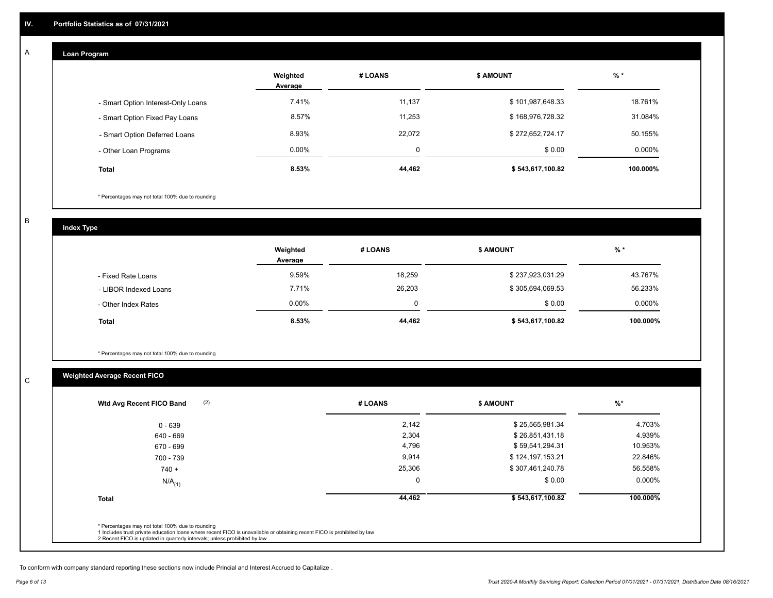#### **Loan Program**

A

|                                    | Weighted<br>Average | # LOANS  | <b>\$ AMOUNT</b> | $%$ *     |
|------------------------------------|---------------------|----------|------------------|-----------|
| - Smart Option Interest-Only Loans | 7.41%               | 11,137   | \$101,987,648.33 | 18.761%   |
| - Smart Option Fixed Pay Loans     | 8.57%               | 11,253   | \$168,976,728.32 | 31.084%   |
| - Smart Option Deferred Loans      | 8.93%               | 22,072   | \$272,652,724.17 | 50.155%   |
| - Other Loan Programs              | $0.00\%$            | $\Omega$ | \$0.00           | $0.000\%$ |
| Total                              | 8.53%               | 44,462   | \$543,617,100.82 | 100.000%  |

\* Percentages may not total 100% due to rounding

B

C

**Index Type**

|                       | Weighted<br>Average | # LOANS | <b>\$ AMOUNT</b> | % *      |
|-----------------------|---------------------|---------|------------------|----------|
| - Fixed Rate Loans    | 9.59%               | 18,259  | \$237,923,031.29 | 43.767%  |
| - LIBOR Indexed Loans | 7.71%               | 26,203  | \$305,694,069.53 | 56.233%  |
| - Other Index Rates   | $0.00\%$            | 0       | \$0.00           | 0.000%   |
| <b>Total</b>          | 8.53%               | 44,462  | \$543,617,100.82 | 100.000% |

\* Percentages may not total 100% due to rounding

## **Weighted Average Recent FICO**

| $0 - 639$<br>640 - 669<br>670 - 699<br>700 - 739 | 2,142<br>2,304<br>4,796 | \$25,565,981.34<br>\$26,851,431.18<br>\$59,541,294.31 | 4.703%<br>4.939%<br>10.953% |
|--------------------------------------------------|-------------------------|-------------------------------------------------------|-----------------------------|
|                                                  |                         |                                                       |                             |
|                                                  |                         |                                                       |                             |
|                                                  |                         |                                                       |                             |
|                                                  | 9,914                   | \$124,197,153.21                                      | 22.846%                     |
| $740 +$                                          | 25,306                  | \$307,461,240.78                                      | 56.558%                     |
| $N/A$ <sub>(1)</sub>                             | 0                       | \$0.00                                                | 0.000%                      |
| <b>Total</b>                                     | 44,462                  | \$543,617,100.82                                      | 100.000%                    |

To conform with company standard reporting these sections now include Princial and Interest Accrued to Capitalize .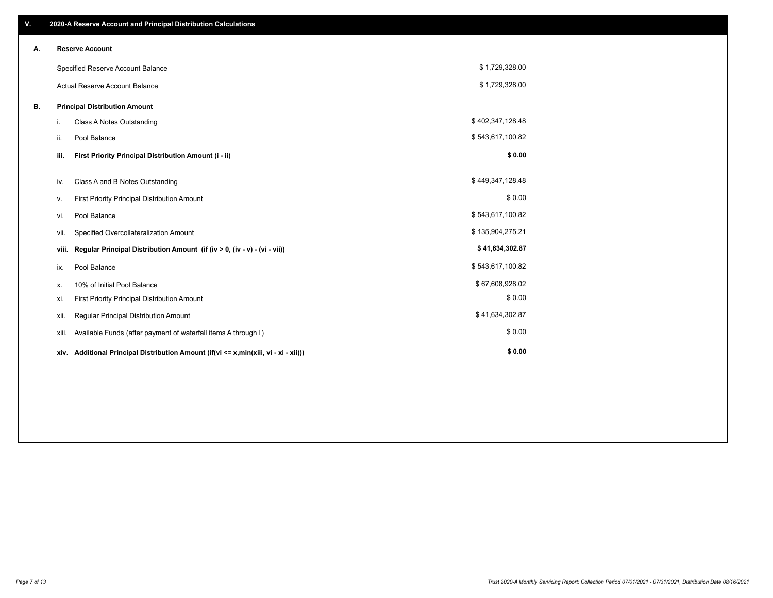| V. |       | 2020-A Reserve Account and Principal Distribution Calculations                  |                  |  |
|----|-------|---------------------------------------------------------------------------------|------------------|--|
| А. |       | <b>Reserve Account</b>                                                          |                  |  |
|    |       | Specified Reserve Account Balance                                               | \$1,729,328.00   |  |
|    |       | <b>Actual Reserve Account Balance</b>                                           | \$1,729,328.00   |  |
| В. |       | <b>Principal Distribution Amount</b>                                            |                  |  |
|    | i.    | <b>Class A Notes Outstanding</b>                                                | \$402,347,128.48 |  |
|    | ii.   | Pool Balance                                                                    | \$543,617,100.82 |  |
|    | iii.  | First Priority Principal Distribution Amount (i - ii)                           | \$0.00           |  |
|    | iv.   | Class A and B Notes Outstanding                                                 | \$449,347,128.48 |  |
|    | v.    | First Priority Principal Distribution Amount                                    | \$0.00           |  |
|    | vi.   | Pool Balance                                                                    | \$543,617,100.82 |  |
|    | vii.  | Specified Overcollateralization Amount                                          | \$135,904,275.21 |  |
|    | viii. | Regular Principal Distribution Amount (if (iv > 0, (iv - v) - (vi - vii))       | \$41,634,302.87  |  |
|    | ix.   | Pool Balance                                                                    | \$543,617,100.82 |  |
|    | х.    | 10% of Initial Pool Balance                                                     | \$67,608,928.02  |  |
|    | xi.   | First Priority Principal Distribution Amount                                    | \$0.00           |  |
|    | xii.  | Regular Principal Distribution Amount                                           | \$41,634,302.87  |  |
|    | xiii. | Available Funds (after payment of waterfall items A through I)                  | \$0.00           |  |
|    | xiv.  | Additional Principal Distribution Amount (if(vi <= x,min(xiii, vi - xi - xii))) | \$0.00           |  |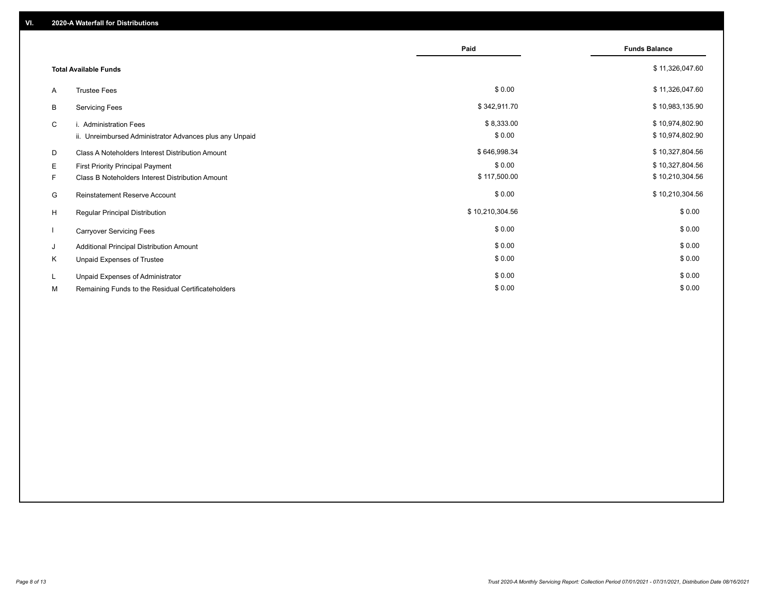|    |                                                         | Paid            | <b>Funds Balance</b> |
|----|---------------------------------------------------------|-----------------|----------------------|
|    | <b>Total Available Funds</b>                            |                 | \$11,326,047.60      |
| A  | <b>Trustee Fees</b>                                     | \$0.00          | \$11,326,047.60      |
| В  | <b>Servicing Fees</b>                                   | \$342,911.70    | \$10,983,135.90      |
| C  | i. Administration Fees                                  | \$8,333.00      | \$10,974,802.90      |
|    | ii. Unreimbursed Administrator Advances plus any Unpaid | \$0.00          | \$10,974,802.90      |
| D  | Class A Noteholders Interest Distribution Amount        | \$646,998.34    | \$10,327,804.56      |
| Е  | First Priority Principal Payment                        | \$0.00          | \$10,327,804.56      |
| F. | Class B Noteholders Interest Distribution Amount        | \$117,500.00    | \$10,210,304.56      |
| G  | Reinstatement Reserve Account                           | \$0.00          | \$10,210,304.56      |
| H  | Regular Principal Distribution                          | \$10,210,304.56 | \$0.00               |
|    | <b>Carryover Servicing Fees</b>                         | \$0.00          | \$0.00               |
| J  | Additional Principal Distribution Amount                | \$0.00          | \$0.00               |
| Κ  | Unpaid Expenses of Trustee                              | \$0.00          | \$0.00               |
| L. | Unpaid Expenses of Administrator                        | \$0.00          | \$0.00               |
| М  | Remaining Funds to the Residual Certificateholders      | \$0.00          | \$0.00               |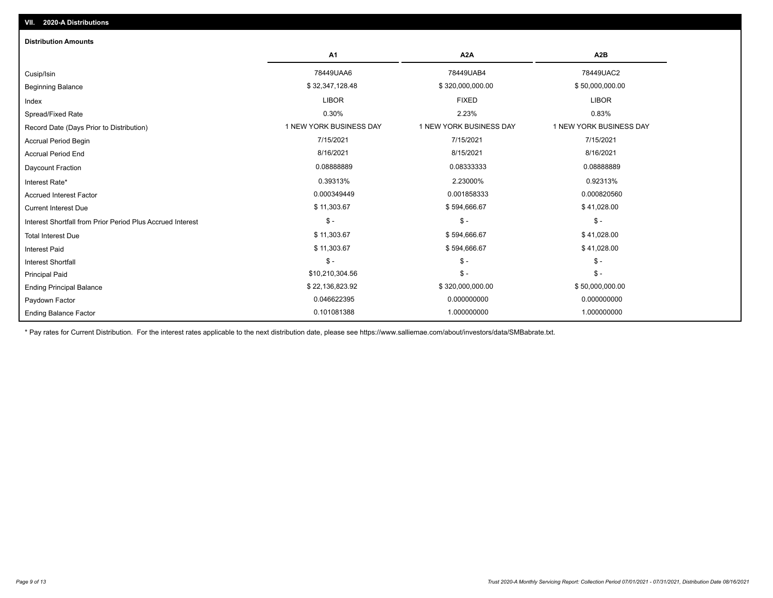| <b>Distribution Amounts</b>                                |                         |                         |                         |
|------------------------------------------------------------|-------------------------|-------------------------|-------------------------|
|                                                            | <b>A1</b>               | A2A                     | A <sub>2</sub> B        |
| Cusip/Isin                                                 | 78449UAA6               | 78449UAB4               | 78449UAC2               |
| <b>Beginning Balance</b>                                   | \$32,347,128.48         | \$320,000,000.00        | \$50,000,000.00         |
| Index                                                      | <b>LIBOR</b>            | <b>FIXED</b>            | <b>LIBOR</b>            |
| Spread/Fixed Rate                                          | 0.30%                   | 2.23%                   | 0.83%                   |
| Record Date (Days Prior to Distribution)                   | 1 NEW YORK BUSINESS DAY | 1 NEW YORK BUSINESS DAY | 1 NEW YORK BUSINESS DAY |
| <b>Accrual Period Begin</b>                                | 7/15/2021               | 7/15/2021               | 7/15/2021               |
| <b>Accrual Period End</b>                                  | 8/16/2021               | 8/15/2021               | 8/16/2021               |
| Daycount Fraction                                          | 0.08888889              | 0.08333333              | 0.08888889              |
| Interest Rate*                                             | 0.39313%                | 2.23000%                | 0.92313%                |
| <b>Accrued Interest Factor</b>                             | 0.000349449             | 0.001858333             | 0.000820560             |
| <b>Current Interest Due</b>                                | \$11,303.67             | \$594,666.67            | \$41,028.00             |
| Interest Shortfall from Prior Period Plus Accrued Interest | $\mathsf{\$}$ -         | $\mathsf{\$}$ -         | $\mathsf{\$}$ -         |
| <b>Total Interest Due</b>                                  | \$11,303.67             | \$594,666.67            | \$41,028.00             |
| <b>Interest Paid</b>                                       | \$11,303.67             | \$594,666.67            | \$41,028.00             |
| Interest Shortfall                                         | $\mathsf{\$}$ -         | $\mathsf{\$}$ -         | $$ -$                   |
| <b>Principal Paid</b>                                      | \$10,210,304.56         | $$ -$                   | $\mathsf{\$}$ -         |
| <b>Ending Principal Balance</b>                            | \$22,136,823.92         | \$320,000,000.00        | \$50,000,000.00         |
| Paydown Factor                                             | 0.046622395             | 0.000000000             | 0.000000000             |
| <b>Ending Balance Factor</b>                               | 0.101081388             | 1.000000000             | 1.000000000             |

\* Pay rates for Current Distribution. For the interest rates applicable to the next distribution date, please see https://www.salliemae.com/about/investors/data/SMBabrate.txt.

**VII. 2020-A Distributions**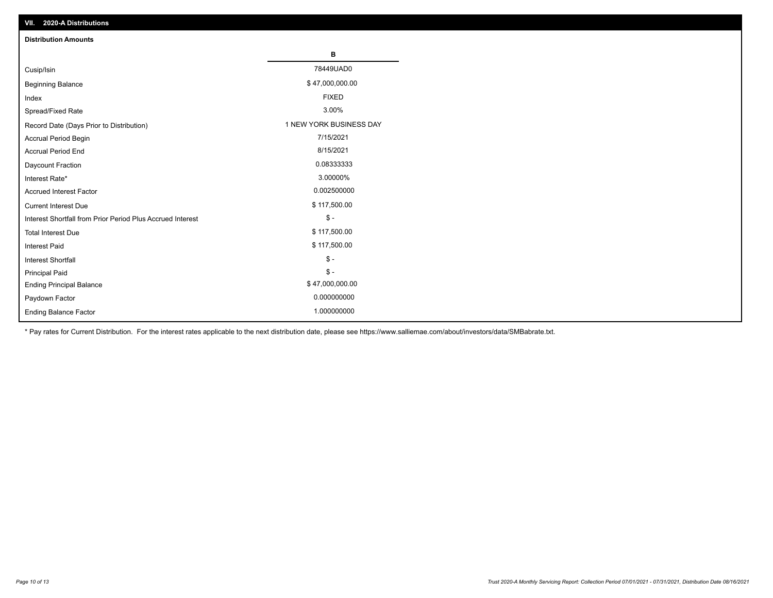| VII. 2020-A Distributions                                  |                         |
|------------------------------------------------------------|-------------------------|
| <b>Distribution Amounts</b>                                |                         |
|                                                            | В                       |
| Cusip/Isin                                                 | 78449UAD0               |
| <b>Beginning Balance</b>                                   | \$47,000,000.00         |
| Index                                                      | <b>FIXED</b>            |
| Spread/Fixed Rate                                          | 3.00%                   |
| Record Date (Days Prior to Distribution)                   | 1 NEW YORK BUSINESS DAY |
| Accrual Period Begin                                       | 7/15/2021               |
| <b>Accrual Period End</b>                                  | 8/15/2021               |
| Daycount Fraction                                          | 0.08333333              |
| Interest Rate*                                             | 3.00000%                |
| <b>Accrued Interest Factor</b>                             | 0.002500000             |
| <b>Current Interest Due</b>                                | \$117,500.00            |
| Interest Shortfall from Prior Period Plus Accrued Interest | $\mathcal{S}$ -         |
| <b>Total Interest Due</b>                                  | \$117,500.00            |
| <b>Interest Paid</b>                                       | \$117,500.00            |
| Interest Shortfall                                         | $\mathcal{S}$ -         |
| <b>Principal Paid</b>                                      | $$ -$                   |
| <b>Ending Principal Balance</b>                            | \$47,000,000.00         |
| Paydown Factor                                             | 0.000000000             |
| <b>Ending Balance Factor</b>                               | 1.000000000             |

\* Pay rates for Current Distribution. For the interest rates applicable to the next distribution date, please see https://www.salliemae.com/about/investors/data/SMBabrate.txt.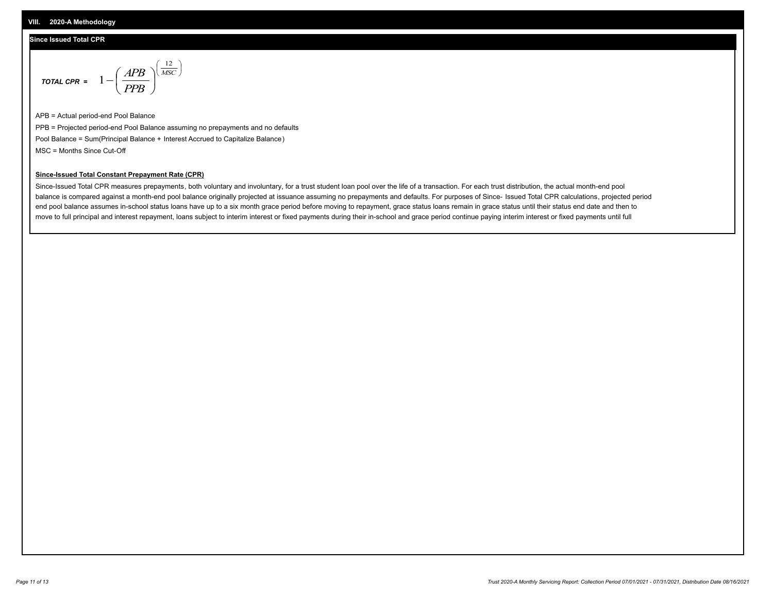#### **Since Issued Total CPR**

$$
\text{total CPR} = 1 - \left(\frac{APB}{PPB}\right)^{\left(\frac{12}{MSC}\right)}
$$

APB = Actual period-end Pool Balance PPB = Projected period-end Pool Balance assuming no prepayments and no defaults Pool Balance = Sum(Principal Balance + Interest Accrued to Capitalize Balance) MSC = Months Since Cut-Off

#### **Since-Issued Total Constant Prepayment Rate (CPR)**

Since-Issued Total CPR measures prepayments, both voluntary and involuntary, for a trust student loan pool over the life of a transaction. For each trust distribution, the actual month-end pool balance is compared against a month-end pool balance originally projected at issuance assuming no prepayments and defaults. For purposes of Since- Issued Total CPR calculations, projected period end pool balance assumes in-school status loans have up to a six month grace period before moving to repayment, grace status loans remain in grace status until their status end date and then to move to full principal and interest repayment, loans subject to interim interest or fixed payments during their in-school and grace period continue paying interim interest or fixed payments until full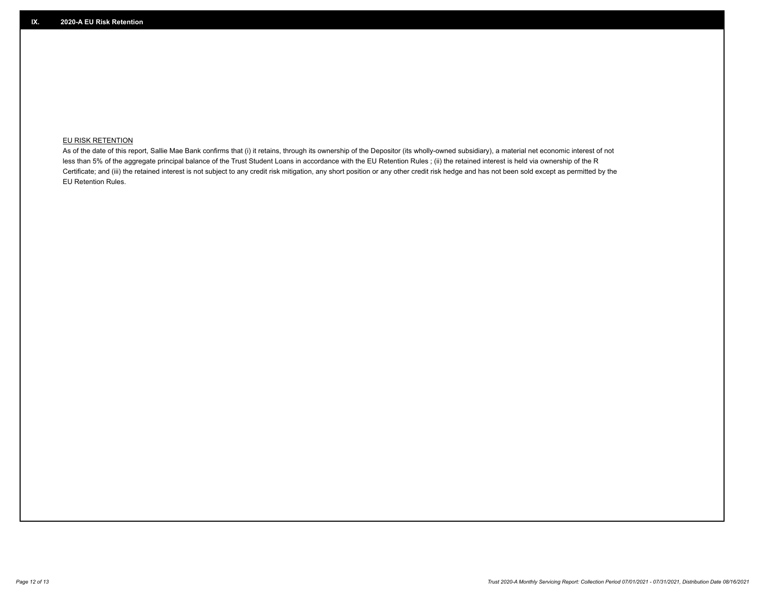### **EU RISK RETENTION**

As of the date of this report, Sallie Mae Bank confirms that (i) it retains, through its ownership of the Depositor (its wholly-owned subsidiary), a material net economic interest of not less than 5% of the aggregate principal balance of the Trust Student Loans in accordance with the EU Retention Rules ; (ii) the retained interest is held via ownership of the R Certificate; and (iii) the retained interest is not subject to any credit risk mitigation, any short position or any other credit risk hedge and has not been sold except as permitted by the EU Retention Rules.